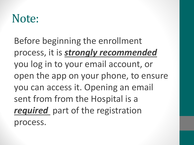# Note:

Before beginning the enrollment process, it is *strongly recommended*  you log in to your email account, or open the app on your phone, to ensure you can access it. Opening an email sent from from the Hospital is a **required** part of the registration process.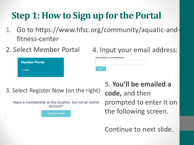## **Step 1: How to Sign up for the Portal**

- 1. Go to https://www.hfsc.org/community/aquatic-andfitness-center
- 2. Select Member Portal

|  |  |  |  | 4. Input your email address: |
|--|--|--|--|------------------------------|
|--|--|--|--|------------------------------|

| <b>Member Portal</b> |  |
|----------------------|--|
| $\rightarrow$ Login  |  |

3. Select Register Now (on the right)

Have a membership at this location, but not an online account?

**Register Now** 

5. **You'll be emailed a code,** and then prompted to enter it on the following screen.

Continue to next slide.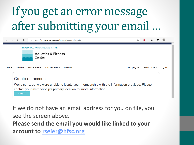# If you get an error message after submitting your email …

| $\leftarrow$<br>$\rightarrow$ | (')             | $\overline{\phantom{a}}$<br>⋒ | https://hfsc.thememberspot.com/Account/Register                                                                           |                                                                                                                                                                     | ☆                    | รั≒               |         | $\cdots$ |
|-------------------------------|-----------------|-------------------------------|---------------------------------------------------------------------------------------------------------------------------|---------------------------------------------------------------------------------------------------------------------------------------------------------------------|----------------------|-------------------|---------|----------|
| Home                          | <b>Join Now</b> |                               | <b>HOSPITAL FOR SPECIAL CARE</b><br><b>Aquatics &amp; Fitness</b><br>Center<br>Online Store $\sim$<br>Appointments $\sim$ | <b>Workouts</b>                                                                                                                                                     | <b>Shopping Cart</b> | My Account $\sim$ | Log out |          |
|                               |                 | Try Again                     | Create an account.                                                                                                        | We're sorry, but we were unable to locate your membership with the information provided. Please<br>contact your membership's primary location for more information. |                      |                   |         |          |

If we do not have an email address for you on file, you see the screen above. **Please send the email you would like linked to your account to [rseier@hfsc.org](mailto:rseier@hfsc.org)**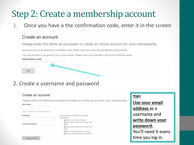## Step 2: Create a membership account

1. Once you have a the confirmation code, enter it in the screen

#### Create an account.

Please enter the fields as prompted to create an online account for your membership.

We've just sent you an email with a confirmation code. Please check your email now and enter the code provided.

The code provided is only good for your current session. Please check your spam filter if you do not receive the email.



#### 2. Create a username and password

#### Create an account.

 $11 - 22 + 12 = 12$ 

Please enter the fields as prompted to create an online account for your membership.

| <b>USEF NAME</b>                      |                                                                                            |
|---------------------------------------|--------------------------------------------------------------------------------------------|
|                                       |                                                                                            |
| (must be between 6 and 30 characters) |                                                                                            |
| Password                              | Your password must match the following<br>requirements:<br>★ Must be at least 8 characters |
| <b>Confirm Password</b>               | ★ Must contain at least one upper-case<br>letter<br>★ Must contain at least one lower-case |
|                                       | letter                                                                                     |
|                                       | ★ Must contain at least one number<br>Cannot contain the word "password"                   |
| Create Account                        |                                                                                            |

**TIP!** Use your email address as a username and write down your password. You'll need it every time you log in.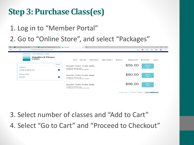## **Step 3: Purchase Class(es)**

### 1. Log in to "Member Portal"

### 2. Go to "Online Store", and select "Packages"

| Aquatic and Fitness Center   Hospitz<br>$\times$   $\overline{m}$<br>$\blacksquare$<br><b>UKG Workforce Central(R)</b><br><b>U</b> | <b>Packages</b><br>$\times$ +                                                                         | $\sigma$                                                                            | $\mathbf{\times}$ |
|------------------------------------------------------------------------------------------------------------------------------------|-------------------------------------------------------------------------------------------------------|-------------------------------------------------------------------------------------|-------------------|
| $\circ$<br>https://hfsc.thememberspot.com/Packages<br>$\leftarrow$                                                                 |                                                                                                       | $\alpha$<br>G<br>⊕<br>ౕౚ<br>ร์≣<br>$\bullet$                                        | $\cdots$          |
| <b>HOSPITAL FOR SPECIAL CARE</b><br><b>Aquatics &amp; Fitness</b><br>Center                                                        | Home<br><b>Join Now</b><br>Online Store -<br>Appointments -<br><b>Workouts</b>                        | <b>Shopping Cart</b><br>My Account $\sim$<br>Log out                                |                   |
| Search<br>Locations<br>$\bullet$<br><b>Hospital for Special Care</b>                                                               | Aquatic Class 1x per week<br><b>Hospital for Special Care</b><br>8 Sessions · 45 minutes per session  | \$56.00<br>Add to<br>Cart                                                           |                   |
| Package Types<br>$\bullet$<br><b>Bookings</b>                                                                                      | Aquatic Class 2x per week<br><b>Hospital for Special Care</b><br>16 Sessions - 45 minutes per session | \$80.00<br>Add to<br>Cart                                                           |                   |
|                                                                                                                                    | Aquatic Class 3x per week<br><b>Hospital for Special Care</b><br>24 Sessions + 45 minutes per session | \$96.00<br>Add to<br>Cart                                                           |                   |
|                                                                                                                                    |                                                                                                       | <b>Terms and Conditions</b><br><b>Privacy Policy</b><br>Powered By <b>TWIN OAKS</b> |                   |

## 3. Select number of classes and "Add to Cart" 4. Select "Go to Cart" and "Proceed to Checkout"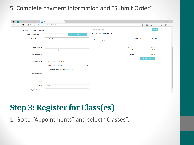#### 5. Complete payment information and "Submit Order".

| Aquatic and Fitness Center   Hos X   200 Checkout | $\times$ +                                                                                     |                                                                        |                   |                          |                     | $\overline{\phantom{0}}$ | $\mathbb O$    | $\times$ |
|---------------------------------------------------|------------------------------------------------------------------------------------------------|------------------------------------------------------------------------|-------------------|--------------------------|---------------------|--------------------------|----------------|----------|
| $\circ$<br>$\rightarrow$                          | https://hfsc.thememberspot.com/Cart/Checkout                                                   |                                                                        |                   | $\hat{\mathbf{u}}$<br>సం | $\mathbb{G}$<br>รั≡ | ⊕                        | $\circledcirc$ | $\cdots$ |
| <b>PAYMENT INFORMATION</b>                        |                                                                                                | Enter Promo Code                                                       |                   |                          | Apply               |                          |                | $\Delta$ |
| <b>Enter a Gift Card</b>                          | Apply                                                                                          | <b>ORDER SUMMARY</b>                                                   |                   |                          |                     |                          |                |          |
| <b>Method of payment</b>                          | --Select Payment Method--<br>$\checkmark$                                                      | <b>Aquatic Class 1x per week</b><br>8 Sessions, 45 minutes per session |                   | 8 @ \$7.00               | \$56.00             |                          |                |          |
| <b>Name on Account</b>                            |                                                                                                |                                                                        |                   |                          |                     |                          |                |          |
| <b>Card Number</b>                                | (no dashes or spaces)                                                                          |                                                                        | Subtotal:<br>Tax: |                          | \$56.00<br>\$0.00   |                          |                |          |
| <b>Security Code</b>                              |                                                                                                |                                                                        | Total:            |                          | \$56.00             |                          |                |          |
|                                                   | What's this?                                                                                   |                                                                        |                   | Submit Order             |                     |                          |                |          |
| <b>Expiration Date</b>                            | --Please Select the Month--<br>$\checkmark$                                                    |                                                                        |                   |                          |                     |                          |                |          |
| <b>Street Address</b>                             | --Please Select the Year--<br>$\checkmark$<br>$\Box$ Use the same address information as above |                                                                        |                   |                          |                     |                          |                |          |
|                                                   |                                                                                                |                                                                        |                   |                          |                     |                          |                |          |
| City                                              |                                                                                                |                                                                        |                   |                          |                     |                          |                |          |
| <b>State</b>                                      | <b>State</b><br>$\checkmark$                                                                   |                                                                        |                   |                          |                     |                          |                |          |
| <b>Zip/Postal Code</b>                            |                                                                                                |                                                                        |                   |                          |                     |                          |                | $\star$  |

## **Step 3: Register for Class(es)**

1. Go to "Appointments" and select "Classes".